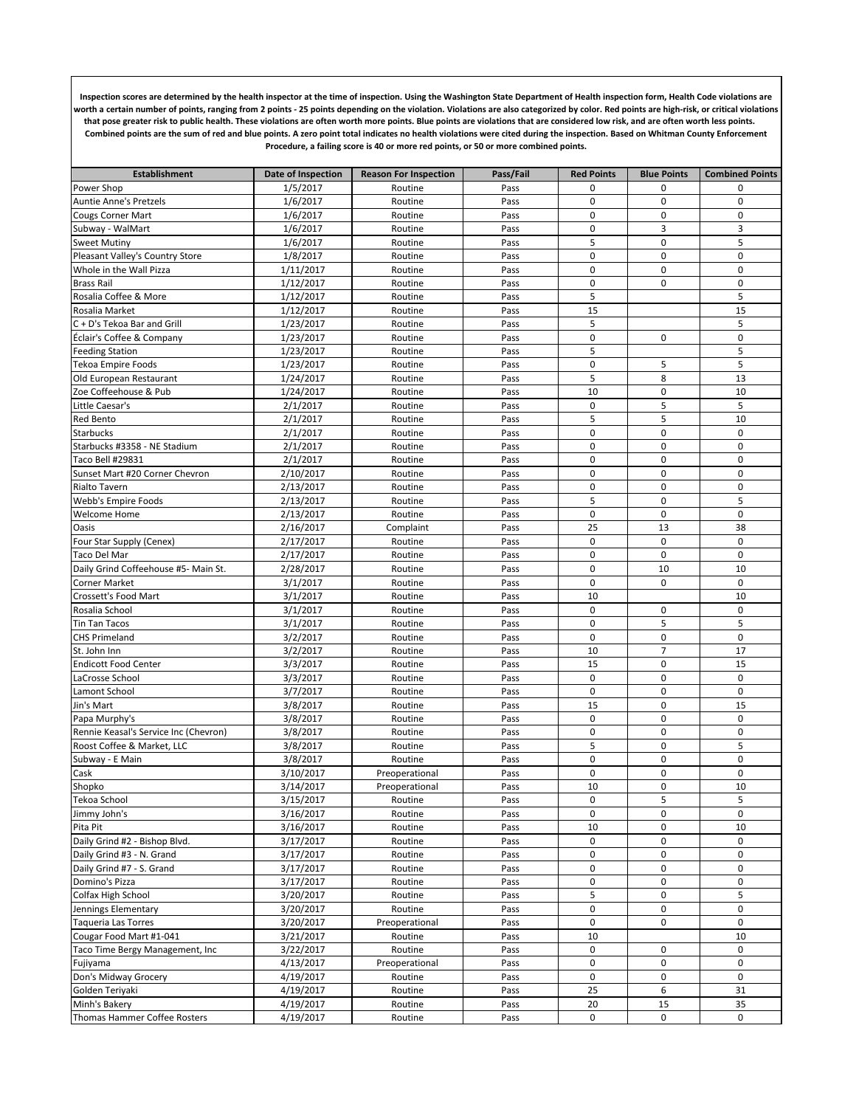**Inspection scores are determined by the health inspector at the time of inspection. Using the Washington State Department of Health inspection form, Health Code violations are worth a certain number of points, ranging from 2 points - 25 points depending on the violation. Violations are also categorized by color. Red points are high-risk, or critical violations that pose greater risk to public health. These violations are often worth more points. Blue points are violations that are considered low risk, and are often worth less points. Combined points are the sum of red and blue points. A zero point total indicates no health violations were cited during the inspection. Based on Whitman County Enforcement Procedure, a failing score is 40 or more red points, or 50 or more combined points.** 

| <b>Establishment</b>                  | Date of Inspection | <b>Reason For Inspection</b> | Pass/Fail | <b>Red Points</b> | <b>Blue Points</b> | <b>Combined Points</b> |
|---------------------------------------|--------------------|------------------------------|-----------|-------------------|--------------------|------------------------|
| Power Shop                            | 1/5/2017           | Routine                      | Pass      | 0                 | 0                  | 0                      |
| Auntie Anne's Pretzels                | 1/6/2017           | Routine                      | Pass      | 0                 | $\mathbf 0$        | 0                      |
| <b>Cougs Corner Mart</b>              | 1/6/2017           | Routine                      | Pass      | 0                 | 0                  | 0                      |
| Subway - WalMart                      | 1/6/2017           | Routine                      | Pass      | $\mathbf 0$       | 3                  | 3                      |
| <b>Sweet Mutiny</b>                   | 1/6/2017           | Routine                      | Pass      | 5                 | 0                  | 5                      |
| Pleasant Valley's Country Store       | 1/8/2017           | Routine                      | Pass      | 0                 | $\mathbf 0$        | $\mathbf 0$            |
| Whole in the Wall Pizza               | 1/11/2017          | Routine                      | Pass      | 0                 | 0                  | 0                      |
| <b>Brass Rail</b>                     | 1/12/2017          | Routine                      | Pass      | $\mathbf 0$       | $\mathbf 0$        | $\boldsymbol{0}$       |
| Rosalia Coffee & More                 | 1/12/2017          | Routine                      | Pass      | 5                 |                    | 5                      |
| Rosalia Market                        | 1/12/2017          | Routine                      | Pass      | 15                |                    | 15                     |
| C + D's Tekoa Bar and Grill           | 1/23/2017          | Routine                      | Pass      | 5                 |                    | 5                      |
| Éclair's Coffee & Company             | 1/23/2017          | Routine                      | Pass      | $\mathbf 0$       | $\mathbf 0$        | $\mathbf 0$            |
| <b>Feeding Station</b>                | 1/23/2017          | Routine                      | Pass      | 5                 |                    | 5                      |
| Tekoa Empire Foods                    | 1/23/2017          | Routine                      | Pass      | 0                 | 5                  | 5                      |
| Old European Restaurant               | 1/24/2017          | Routine                      | Pass      | 5                 | 8                  | 13                     |
| Zoe Coffeehouse & Pub                 | 1/24/2017          | Routine                      | Pass      | 10                | $\pmb{0}$          | 10                     |
| Little Caesar's                       | 2/1/2017           | Routine                      | Pass      | $\pmb{0}$         | 5                  | 5                      |
| Red Bento                             | 2/1/2017           | Routine                      | Pass      | 5                 | 5                  | 10                     |
| <b>Starbucks</b>                      | 2/1/2017           | Routine                      | Pass      | $\mathbf 0$       | $\pmb{0}$          | $\mathbf 0$            |
| Starbucks #3358 - NE Stadium          | 2/1/2017           | Routine                      | Pass      | $\mathbf 0$       | $\pmb{0}$          | $\mathbf 0$            |
| Taco Bell #29831                      | 2/1/2017           | Routine                      | Pass      | $\mathbf 0$       | $\pmb{0}$          | $\mathbf 0$            |
| Sunset Mart #20 Corner Chevron        | 2/10/2017          | Routine                      | Pass      | $\pmb{0}$         | $\pmb{0}$          | $\mathbf 0$            |
| Rialto Tavern                         | 2/13/2017          | Routine                      | Pass      | $\mathbf 0$       | $\pmb{0}$          | $\mathbf 0$            |
| Webb's Empire Foods                   | 2/13/2017          | Routine                      | Pass      | 5                 | $\mathbf 0$        | 5                      |
| Welcome Home                          | 2/13/2017          | Routine                      | Pass      | $\mathbf 0$       | $\pmb{0}$          | $\mathbf 0$            |
| Oasis                                 | 2/16/2017          | Complaint                    | Pass      | 25                | 13                 | 38                     |
| Four Star Supply (Cenex)              | 2/17/2017          | Routine                      | Pass      | 0                 | $\mathbf 0$        | $\mathbf 0$            |
| Taco Del Mar                          | 2/17/2017          | Routine                      | Pass      | 0                 | 0                  | 0                      |
| Daily Grind Coffeehouse #5- Main St.  | 2/28/2017          | Routine                      | Pass      | $\pmb{0}$         | 10                 | 10                     |
| Corner Market                         | 3/1/2017           | Routine                      | Pass      | 0                 | $\mathbf 0$        | $\mathbf 0$            |
| Crossett's Food Mart                  | 3/1/2017           | Routine                      | Pass      | 10                |                    | 10                     |
| Rosalia School                        | 3/1/2017           | Routine                      | Pass      | $\mathbf 0$       | 0                  | $\mathsf 0$            |
| Tin Tan Tacos                         | 3/1/2017           | Routine                      | Pass      | $\pmb{0}$         | 5                  | 5                      |
| <b>CHS Primeland</b>                  | 3/2/2017           | Routine                      | Pass      | $\mathbf 0$       | $\pmb{0}$          | $\mathbf 0$            |
| St. John Inn                          | 3/2/2017           | Routine                      | Pass      | 10                | $\overline{7}$     | 17                     |
| <b>Endicott Food Center</b>           | 3/3/2017           | Routine                      | Pass      | 15                | $\pmb{0}$          | 15                     |
| LaCrosse School                       | 3/3/2017           | Routine                      | Pass      | $\pmb{0}$         | $\pmb{0}$          | $\mathbf 0$            |
| Lamont School                         | 3/7/2017           | Routine                      | Pass      | $\pmb{0}$         | $\pmb{0}$          | $\mathbf 0$            |
| Jin's Mart                            | 3/8/2017           | Routine                      | Pass      | 15                | $\pmb{0}$          | 15                     |
| Papa Murphy's                         | 3/8/2017           | Routine                      | Pass      | $\mathbf 0$       | $\pmb{0}$          | $\mathbf 0$            |
| Rennie Keasal's Service Inc (Chevron) | 3/8/2017           | Routine                      | Pass      | $\mathbf 0$       | $\pmb{0}$          | $\pmb{0}$              |
| Roost Coffee & Market, LLC            | 3/8/2017           | Routine                      | Pass      | 5                 | $\pmb{0}$          | 5                      |
| Subway - E Main                       | 3/8/2017           | Routine                      | Pass      | 0                 | $\mathbf 0$        | $\mathbf 0$            |
| Cask                                  | 3/10/2017          | Preoperational               | Pass      | 0                 | 0                  | 0                      |
| Shopko                                | 3/14/2017          | Preoperational               | Pass      | 10                | $\mathbf 0$        | 10                     |
| Tekoa School                          | 3/15/2017          | Routine                      | Pass      | 0                 | 5                  | 5                      |
| Jimmy John's                          | 3/16/2017          | Routine                      | Pass      | 0                 | $\mathbf 0$        | $\mathbf 0$            |
| Pita Pit                              | 3/16/2017          | Routine                      | Pass      | 10                | 0                  | 10                     |
| Daily Grind #2 - Bishop Blvd.         | 3/17/2017          | Routine                      | Pass      | 0                 | 0                  | 0                      |
| Daily Grind #3 - N. Grand             | 3/17/2017          | Routine                      | Pass      | $\pmb{0}$         | $\pmb{0}$          | 0                      |
| Daily Grind #7 - S. Grand             | 3/17/2017          | Routine                      | Pass      | 0                 | $\pmb{0}$          | 0                      |
| Domino's Pizza                        | 3/17/2017          | Routine                      | Pass      | 0                 | 0                  | 0                      |
| Colfax High School                    | 3/20/2017          | Routine                      | Pass      | 5                 | $\pmb{0}$          | 5                      |
| Jennings Elementary                   | 3/20/2017          | Routine                      | Pass      | 0                 | 0                  | 0                      |
| Taqueria Las Torres                   | 3/20/2017          | Preoperational               | Pass      | $\pmb{0}$         | $\pmb{0}$          | 0                      |
| Cougar Food Mart #1-041               | 3/21/2017          | Routine                      | Pass      | 10                |                    | 10                     |
| Taco Time Bergy Management, Inc       | 3/22/2017          | Routine                      | Pass      | 0                 | 0                  | $\mathbf 0$            |
| Fujiyama                              | 4/13/2017          | Preoperational               | Pass      | $\mathsf 0$       | $\pmb{0}$          | 0                      |
| Don's Midway Grocery                  | 4/19/2017          | Routine                      | Pass      | 0                 | 0                  | 0                      |
| Golden Teriyaki                       | 4/19/2017          | Routine                      | Pass      | 25                | $\boldsymbol{6}$   | 31                     |
| Minh's Bakery                         | 4/19/2017          | Routine                      | Pass      | 20                | 15                 | 35                     |
| Thomas Hammer Coffee Rosters          | 4/19/2017          | Routine                      | Pass      | 0                 | $\mathsf 0$        | $\mathbf 0$            |
|                                       |                    |                              |           |                   |                    |                        |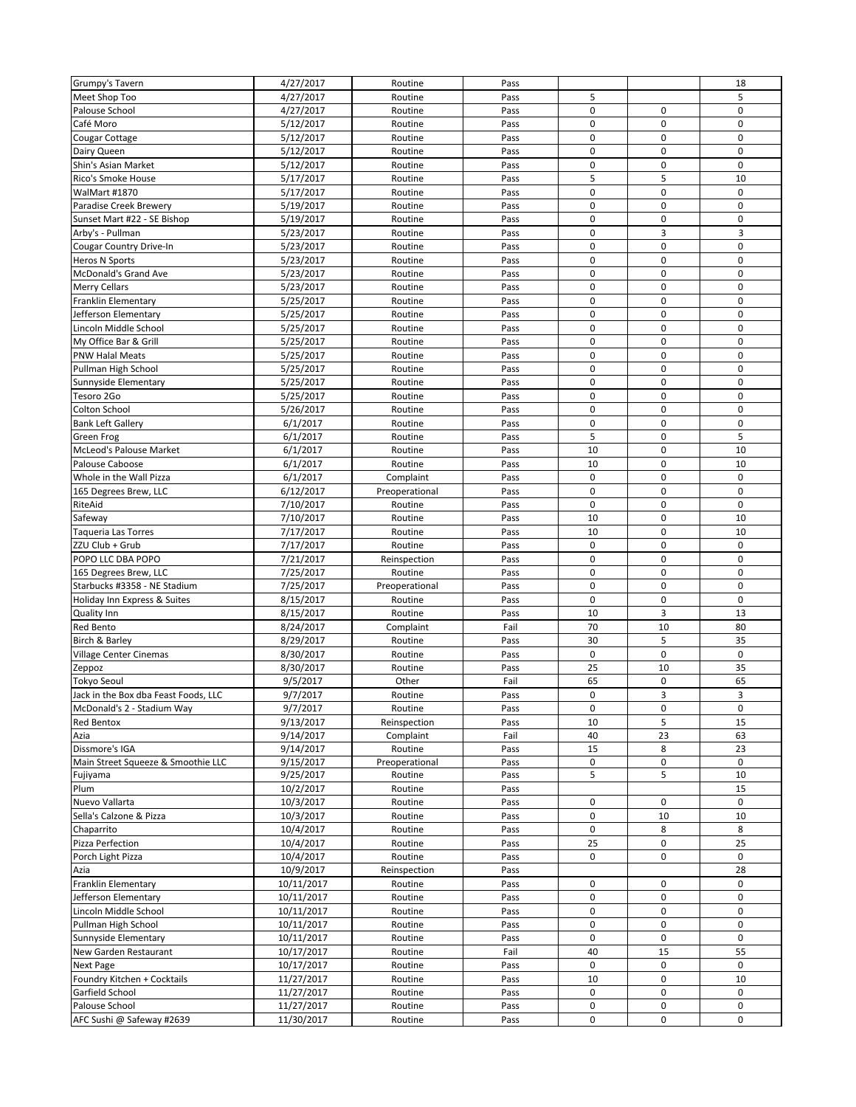| Grumpy's Tavern                      | 4/27/2017  | Routine        | Pass |             |             | 18               |
|--------------------------------------|------------|----------------|------|-------------|-------------|------------------|
| Meet Shop Too                        | 4/27/2017  | Routine        | Pass | 5           |             | 5                |
| Palouse School                       | 4/27/2017  | Routine        | Pass | $\pmb{0}$   | 0           | $\mathbf 0$      |
|                                      |            |                |      | $\pmb{0}$   | $\pmb{0}$   | $\mathbf 0$      |
| Café Moro                            | 5/12/2017  | Routine        | Pass |             |             |                  |
| Cougar Cottage                       | 5/12/2017  | Routine        | Pass | $\pmb{0}$   | 0           | $\mathbf 0$      |
| Dairy Queen                          | 5/12/2017  | Routine        | Pass | $\pmb{0}$   | $\pmb{0}$   | $\mathbf 0$      |
| Shin's Asian Market                  | 5/12/2017  | Routine        | Pass | 0           | $\pmb{0}$   | $\mathbf 0$      |
| Rico's Smoke House                   | 5/17/2017  | Routine        | Pass | 5           | 5           | 10               |
| WalMart #1870                        | 5/17/2017  | Routine        | Pass | 0           | 0           | $\mathbf 0$      |
| Paradise Creek Brewery               | 5/19/2017  | Routine        | Pass | $\mathbf 0$ | $\mathbf 0$ | $\mathbf 0$      |
| Sunset Mart #22 - SE Bishop          | 5/19/2017  | Routine        | Pass | 0           | $\pmb{0}$   | $\boldsymbol{0}$ |
| Arby's - Pullman                     | 5/23/2017  | Routine        | Pass | $\pmb{0}$   | 3           | 3                |
| Cougar Country Drive-In              | 5/23/2017  | Routine        | Pass | 0           | $\pmb{0}$   | $\mathbf 0$      |
| <b>Heros N Sports</b>                | 5/23/2017  | Routine        | Pass | 0           | $\pmb{0}$   | $\mathbf 0$      |
| <b>McDonald's Grand Ave</b>          | 5/23/2017  | Routine        | Pass | 0           | 0           | $\mathbf 0$      |
| Merry Cellars                        | 5/23/2017  | Routine        | Pass | $\mathbf 0$ | $\pmb{0}$   | $\mathbf 0$      |
| Franklin Elementary                  | 5/25/2017  | Routine        | Pass | 0           | 0           | $\mathbf 0$      |
| Jefferson Elementary                 | 5/25/2017  | Routine        | Pass | $\pmb{0}$   | $\pmb{0}$   | $\mathbf 0$      |
| Lincoln Middle School                | 5/25/2017  |                | Pass | $\mathbf 0$ | $\pmb{0}$   | $\mathbf 0$      |
|                                      |            | Routine        |      |             |             |                  |
| My Office Bar & Grill                | 5/25/2017  | Routine        | Pass | $\pmb{0}$   | $\pmb{0}$   | $\mathbf 0$      |
| <b>PNW Halal Meats</b>               | 5/25/2017  | Routine        | Pass | $\mathbf 0$ | $\pmb{0}$   | $\mathbf 0$      |
| Pullman High School                  | 5/25/2017  | Routine        | Pass | $\pmb{0}$   | $\pmb{0}$   | $\mathbf 0$      |
| Sunnyside Elementary                 | 5/25/2017  | Routine        | Pass | $\mathbf 0$ | $\pmb{0}$   | $\mathbf 0$      |
| Tesoro 2Go                           | 5/25/2017  | Routine        | Pass | $\pmb{0}$   | 0           | $\mathbf 0$      |
| Colton School                        | 5/26/2017  | Routine        | Pass | $\pmb{0}$   | $\pmb{0}$   | $\pmb{0}$        |
| <b>Bank Left Gallery</b>             | 6/1/2017   | Routine        | Pass | $\pmb{0}$   | $\pmb{0}$   | $\mathbf 0$      |
| Green Frog                           | 6/1/2017   | Routine        | Pass | 5           | $\pmb{0}$   | 5                |
| McLeod's Palouse Market              | 6/1/2017   | Routine        | Pass | 10          | $\pmb{0}$   | 10               |
| Palouse Caboose                      | 6/1/2017   | Routine        | Pass | 10          | $\pmb{0}$   | 10               |
| Whole in the Wall Pizza              | 6/1/2017   | Complaint      | Pass | $\pmb{0}$   | $\pmb{0}$   | $\mathbf 0$      |
| 165 Degrees Brew, LLC                | 6/12/2017  | Preoperational | Pass | 0           | $\pmb{0}$   | $\mathbf 0$      |
| RiteAid                              | 7/10/2017  | Routine        | Pass | $\pmb{0}$   | 0           | $\mathbf 0$      |
| Safeway                              | 7/10/2017  | Routine        | Pass | 10          | $\pmb{0}$   | 10               |
| <b>Taqueria Las Torres</b>           | 7/17/2017  | Routine        | Pass | 10          | $\pmb{0}$   | 10               |
| ZZU Club + Grub                      | 7/17/2017  | Routine        | Pass | $\pmb{0}$   | $\pmb{0}$   | $\mathbf 0$      |
|                                      |            |                |      |             |             |                  |
| POPO LLC DBA POPO                    | 7/21/2017  | Reinspection   | Pass | $\pmb{0}$   | $\pmb{0}$   | $\mathbf 0$      |
| 165 Degrees Brew, LLC                | 7/25/2017  | Routine        | Pass | $\mathbf 0$ | $\mathbf 0$ | $\mathbf 0$      |
| Starbucks #3358 - NE Stadium         | 7/25/2017  | Preoperational | Pass | 0           | 0           | $\mathbf 0$      |
| Holiday Inn Express & Suites         | 8/15/2017  | Routine        | Pass | $\mathbf 0$ | $\pmb{0}$   | $\mathbf 0$      |
| Quality Inn                          | 8/15/2017  | Routine        | Pass | 10          | 3           | 13               |
| Red Bento                            | 8/24/2017  | Complaint      | Fail | 70          | 10          | 80               |
| Birch & Barley                       | 8/29/2017  | Routine        | Pass | 30          | 5           | 35               |
| Village Center Cinemas               | 8/30/2017  | Routine        | Pass | $\pmb{0}$   | $\pmb{0}$   | $\mathbf 0$      |
| Zeppoz                               | 8/30/2017  | Routine        | Pass | 25          | 10          | 35               |
| <b>Tokyo Seoul</b>                   | 9/5/2017   | Other          | Fail | 65          | 0           | 65               |
| Jack in the Box dba Feast Foods. LLC | 9/7/2017   | Routine        | Pass | $\mathbf 0$ | 3           | 3                |
| McDonald's 2 - Stadium Way           | 9/7/2017   | Routine        | Pass | 0           | 0           | $\mathbf 0$      |
| Red Bentox                           | 9/13/2017  | Reinspection   | Pass | 10          | 5           | 15               |
| Azia                                 | 9/14/2017  | Complaint      | Fail | 40          | 23          | 63               |
| Dissmore's IGA                       | 9/14/2017  | Routine        | Pass | 15          | 8           | 23               |
| Main Street Squeeze & Smoothie LLC   | 9/15/2017  | Preoperational | Pass | 0           | $\pmb{0}$   | $\mathbf 0$      |
| Fujiyama                             | 9/25/2017  | Routine        | Pass | 5           | 5           | 10               |
| Plum                                 | 10/2/2017  | Routine        | Pass |             |             | 15               |
| Nuevo Vallarta                       | 10/3/2017  |                | Pass | 0           | 0           | 0                |
|                                      |            | Routine        |      | $\mathsf 0$ |             |                  |
| Sella's Calzone & Pizza              | 10/3/2017  | Routine        | Pass |             | 10          | 10               |
| Chaparrito                           | 10/4/2017  | Routine        | Pass | 0           | 8           | 8                |
| Pizza Perfection                     | 10/4/2017  | Routine        | Pass | 25          | $\pmb{0}$   | 25               |
| Porch Light Pizza                    | 10/4/2017  | Routine        | Pass | 0           | 0           | $\pmb{0}$        |
| Azia                                 | 10/9/2017  | Reinspection   | Pass |             |             | 28               |
| Franklin Elementary                  | 10/11/2017 | Routine        | Pass | 0           | 0           | $\mathbf 0$      |
| Jefferson Elementary                 | 10/11/2017 | Routine        | Pass | $\pmb{0}$   | $\pmb{0}$   | $\mathbf 0$      |
| Lincoln Middle School                | 10/11/2017 | Routine        | Pass | 0           | 0           | 0                |
| Pullman High School                  | 10/11/2017 | Routine        | Pass | 0           | 0           | $\pmb{0}$        |
| Sunnyside Elementary                 | 10/11/2017 | Routine        | Pass | $\pmb{0}$   | $\pmb{0}$   | $\mathbf 0$      |
| New Garden Restaurant                | 10/17/2017 | Routine        | Fail | 40          | 15          | 55               |
| Next Page                            | 10/17/2017 | Routine        | Pass | 0           | 0           | $\mathbf 0$      |
| Foundry Kitchen + Cocktails          | 11/27/2017 | Routine        | Pass | 10          | 0           | 10               |
| Garfield School                      | 11/27/2017 | Routine        | Pass | $\mathsf 0$ | $\pmb{0}$   | $\mathbf 0$      |
| Palouse School                       | 11/27/2017 | Routine        | Pass | 0           | 0           | $\mathbf 0$      |
| AFC Sushi @ Safeway #2639            | 11/30/2017 | Routine        | Pass | 0           | 0           | $\mathbf 0$      |
|                                      |            |                |      |             |             |                  |